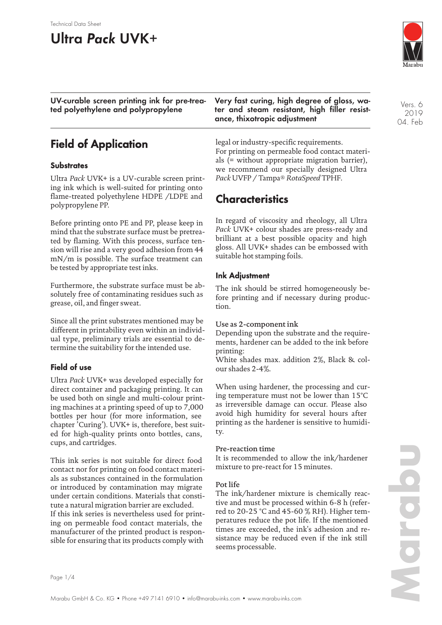#### Technical Data Sheet

# **Ultra Pack UVK+**

**UV-curable screen printing ink for pre-treated polyethylene and polypropylene**

### **Field of Application**

#### **Substrates**

Ultra *Pack* UVK+ is a UV-curable screen printing ink which is well-suited for printing onto flame-treated polyethylene HDPE /LDPE and polypropylene PP.

Before printing onto PE and PP, please keep in mind that the substrate surface must be pretreated by flaming. With this process, surface tension will rise and a very good adhesion from 44 mN/m is possible. The surface treatment can be tested by appropriate test inks.

Furthermore, the substrate surface must be absolutely free of contaminating residues such as grease, oil, and finger sweat.

Since all the print substrates mentioned may be different in printability even within an individual type, preliminary trials are essential to determine the suitability for the intended use.

#### **Field of use**

Ultra *Pack* UVK+ was developed especially for direct container and packaging printing. It can be used both on single and multi-colour printing machines at a printing speed of up to 7,000 bottles per hour (for more information, see chapter 'Curing'). UVK+ is, therefore, best suited for high-quality prints onto bottles, cans, cups, and cartridges.

This ink series is not suitable for direct food contact nor for printing on food contact materials as substances contained in the formulation or introduced by contamination may migrate under certain conditions. Materials that constitute a natural migration barrier are excluded. If this ink series is nevertheless used for printing on permeable food contact materials, the manufacturer of the printed product is responsible for ensuring that its products comply with **Very fast curing, high degree of gloss, water and steam resistant, high filler resistance, thixotropic adjustment**

legal or industry-specific requirements. For printing on permeable food contact materials (= without appropriate migration barrier), we recommend our specially designed Ultra *Pack* UVFP / Tampa® *RotaSpeed* TPHF.

### **Characteristics**

In regard of viscosity and rheology, all Ultra *Pack* UVK+ colour shades are press-ready and brilliant at a best possible opacity and high gloss. All UVK+ shades can be embossed with suitable hot stamping foils.

#### **Ink Adjustment**

The ink should be stirred homogeneously before printing and if necessary during production.

#### Use as 2-component ink

Depending upon the substrate and the requirements, hardener can be added to the ink before printing:

White shades max. addition 2%, Black & colour shades 2-4%.

When using hardener, the processing and curing temperature must not be lower than 15°C as irreversible damage can occur. Please also avoid high humidity for several hours after printing as the hardener is sensitive to humidity.

#### Pre-reaction time

It is recommended to allow the ink/hardener mixture to pre-react for 15 minutes.

#### Pot life

The ink/hardener mixture is chemically reactive and must be processed within 6-8 h (referred to 20-25 °C and 45-60 % RH). Higher temperatures reduce the pot life. If the mentioned times are exceeded, the ink's adhesion and resistance may be reduced even if the ink still seems processable.



**Marabu**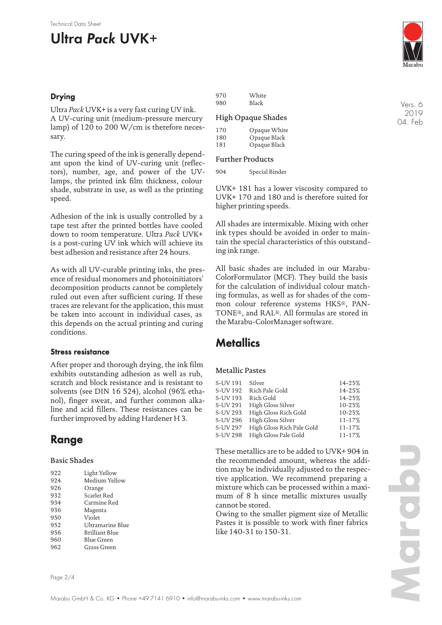# **Ultra Pack UVK+**

### **Drying**

Ultra *Pack* UVK+ is a very fast curing UV ink. A UV-curing unit (medium-pressure mercury lamp) of 120 to 200 W/cm is therefore necessary.

The curing speed of the ink is generally dependant upon the kind of UV-curing unit (reflectors), number, age, and power of the UVlamps, the printed ink film thickness, colour shade, substrate in use, as well as the printing speed.

Adhesion of the ink is usually controlled by a tape test after the printed bottles have cooled down to room temperature. Ultra *Pack* UVK+ is a post-curing UV ink which will achieve its best adhesion and resistance after 24 hours.

As with all UV-curable printing inks, the presence of residual monomers and photoinitiators' decomposition products cannot be completely ruled out even after sufficient curing. If these traces are relevant for the application, this must be taken into account in individual cases, as this depends on the actual printing and curing conditions.

### **Stress resistance**

After proper and thorough drying, the ink film exhibits outstanding adhesion as well as rub, scratch and block resistance and is resistant to solvents (see DIN 16 524), alcohol (96% ethanol), finger sweat, and further common alkaline and acid fillers. These resistances can be further improved by adding Hardener H 3.

# **Range**

#### Basic Shades

| 922 | Light Yellow     |
|-----|------------------|
| 924 | Medium Yellow    |
| 926 | Orange           |
| 932 | Scarlet Red      |
| 934 | Carmine Red      |
| 936 | Magenta          |
| 950 | Violet           |
| 952 | Ultramarine Blue |
| 956 | Brilliant Blue   |
| 960 | Blue Green       |
| 962 | Grass Green      |

| 970 | White |
|-----|-------|
| 980 | Black |

#### High Opaque Shades

| 170 | Opaque White |
|-----|--------------|
| 180 | Opaque Black |
| 181 | Opaque Black |

#### Further Products

904 Special Binder

UVK+ 181 has a lower viscosity compared to UVK+ 170 and 180 and is therefore suited for higher printing speeds.

All shades are intermixable. Mixing with other ink types should be avoided in order to maintain the special characteristics of this outstanding ink range.

All basic shades are included in our Marabu-ColorFormulator (MCF). They build the basis for the calculation of individual colour matching formulas, as well as for shades of the common colour reference systems HKS®, PAN-TONE®, and RAL®. All formulas are stored in the Marabu-ColorManager software.

### **Metallics**

#### Metallic Pastes

| S-UV 191 | Silver                    | 14-25% |
|----------|---------------------------|--------|
| S-UV 192 | Rich Pale Gold            | 14-25% |
| S-UV 193 | Rich Gold                 | 14-25% |
| S-UV 291 | High Gloss Silver         | 10-25% |
| S-UV 293 | High Gloss Rich Gold      | 10-25% |
| S-UV 296 | High Gloss Silver         | 11-17% |
| S-UV 297 | High Gloss Rich Pale Gold | 11-17% |
| S-UV 298 | High Gloss Pale Gold      | 11-17% |
|          |                           |        |

These metallics are to be added to UVK+ 904 in the recommended amount, whereas the addition may be individually adjusted to the respective application. We recommend preparing a mixture which can be processed within a maximum of 8 h since metallic mixtures usually cannot be stored.

Owing to the smaller pigment size of Metallic Pastes it is possible to work with finer fabrics like 140-31 to 150-31.

Vers. 6 2019 04. Feb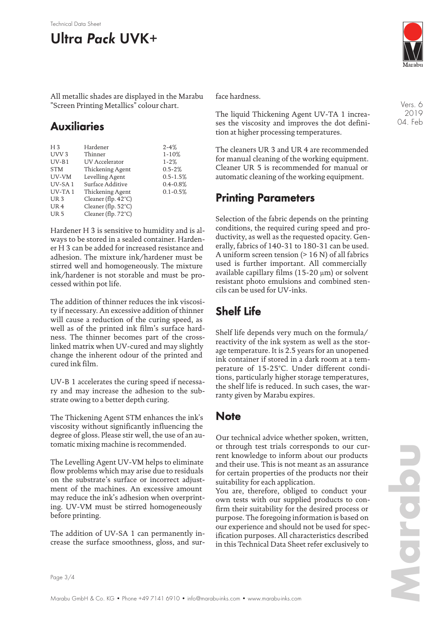#### Technical Data Sheet

# **Ultra Pack UVK+**

All metallic shades are displayed in the Marabu "Screen Printing Metallics" colour chart.

### **Auxiliaries**

| $H_3$            | Hardener                      | $2 - 4%$     |
|------------------|-------------------------------|--------------|
| UVV <sub>3</sub> | Thinner                       | $1 - 10%$    |
| $UV-B1$          | <b>UV</b> Accelerator         | $1 - 2%$     |
| <b>STM</b>       | Thickening Agent              | $0.5 - 2%$   |
| UV-VM            | Levelling Agent               | $0.5 - 1.5%$ |
| UV-SA1           | Surface Additive              | $0.4 - 0.8%$ |
| $UV-TA1$         | Thickening Agent              | $0.1 - 0.5%$ |
| UR <sub>3</sub>  | Cleaner (flp. $42^{\circ}$ C) |              |
| UR <sub>4</sub>  | Cleaner (flp. $52^{\circ}$ C) |              |
| UR <sub>5</sub>  | Cleaner (flp. 72°C)           |              |
|                  |                               |              |

Hardener H 3 is sensitive to humidity and is always to be stored in a sealed container. Hardener H 3 can be added for increased resistance and adhesion. The mixture ink/hardener must be stirred well and homogeneously. The mixture ink/hardener is not storable and must be processed within pot life.

The addition of thinner reduces the ink viscosity if necessary. An excessive addition of thinner will cause a reduction of the curing speed, as well as of the printed ink film's surface hardness. The thinner becomes part of the crosslinked matrix when UV-cured and may slightly change the inherent odour of the printed and cured ink film.

UV-B 1 accelerates the curing speed if necessary and may increase the adhesion to the substrate owing to a better depth curing.

The Thickening Agent STM enhances the ink's viscosity without significantly influencing the degree of gloss. Please stir well, the use of an automatic mixing machine is recommended.

The Levelling Agent UV-VM helps to eliminate flow problems which may arise due to residuals on the substrate's surface or incorrect adjustment of the machines. An excessive amount may reduce the ink's adhesion when overprinting. UV-VM must be stirred homogeneously before printing.

The addition of UV-SA 1 can permanently increase the surface smoothness, gloss, and surface hardness.

The liquid Thickening Agent UV-TA 1 increases the viscosity and improves the dot definition at higher processing temperatures.

The cleaners UR 3 and UR 4 are recommended for manual cleaning of the working equipment. Cleaner UR 5 is recommended for manual or automatic cleaning of the working equipment.

### **Printing Parameters**

Selection of the fabric depends on the printing conditions, the required curing speed and productivity, as well as the requested opacity. Generally, fabrics of 140-31 to 180-31 can be used. A uniform screen tension  $(> 16 N)$  of all fabrics used is further important. All commercially available capillary films (15-20 um) or solvent resistant photo emulsions and combined stencils can be used for UV-inks.

## **Shelf Life**

Shelf life depends very much on the formula/ reactivity of the ink system as well as the storage temperature. It is 2.5 years for an unopened ink container if stored in a dark room at a temperature of 15-25°C. Under different conditions, particularly higher storage temperatures, the shelf life is reduced. In such cases, the warranty given by Marabu expires.

### **Note**

Our technical advice whether spoken, written, or through test trials corresponds to our current knowledge to inform about our products and their use. This is not meant as an assurance for certain properties of the products nor their suitability for each application.

You are, therefore, obliged to conduct your own tests with our supplied products to confirm their suitability for the desired process or purpose. The foregoing information is based on our experience and should not be used for specification purposes. All characteristics described in this Technical Data Sheet refer exclusively to

Vers. 6 2019 04. Feb